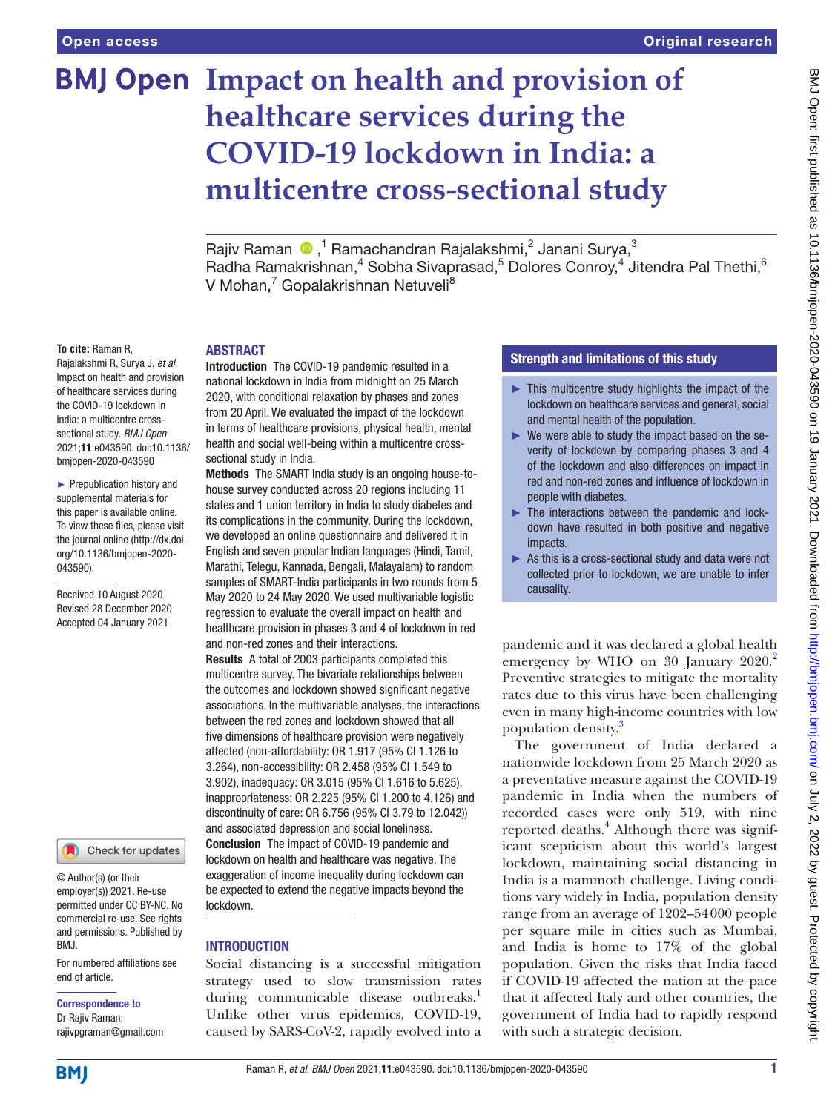# **BMJ Open Impact on health and provision of healthcare services during the COVID-19 lockdown in India: a multicentre cross-sectional study**

Rajiv Raman  $\bigcirc$ ,<sup>1</sup> Ramachandran Rajalakshmi,<sup>2</sup> Janani Surya,<sup>3</sup> Radha Ramakrishnan,<sup>4</sup> Sobha Sivaprasad,<sup>5</sup> Dolores Conroy,<sup>4</sup> Jitendra Pal Thethi,<sup>6</sup> V Mohan,<sup>7</sup> Gopalakrishnan Netuveli<sup>8</sup>

#### **To cite:** Raman R,

Rajalakshmi R, Surya J, *et al*. Impact on health and provision of healthcare services during the COVID-19 lockdown in India: a multicentre crosssectional study. *BMJ Open* 2021;11:e043590. doi:10.1136/ bmjopen-2020-043590

► Prepublication history and supplemental materials for this paper is available online. To view these files, please visit the journal online (http://dx.doi. org/10.1136/bmjopen-2020- 043590).

Received 10 August 2020 Revised 28 December 2020 Accepted 04 January 2021



© Author(s) (or their employer(s)) 2021. Re-use permitted under CC BY-NC. No commercial re-use. See rights and permissions. Published by BMJ.

For numbered affiliations see end of article.

#### Correspondence to Dr Rajiv Raman;

rajivpgraman@gmail.com

#### **ARSTRACT**

Introduction The COVID-19 pandemic resulted in a national lockdown in India from midnight on 25 March 2020, with conditional relaxation by phases and zones from 20 April. We evaluated the impact of the lockdown in terms of healthcare provisions, physical health, mental health and social well-being within a multicentre crosssectional study in India.

Methods The SMART India study is an ongoing house-tohouse survey conducted across 20 regions including 11 states and 1 union territory in India to study diabetes and its complications in the community. During the lockdown, we developed an online questionnaire and delivered it in English and seven popular Indian languages (Hindi, Tamil, Marathi, Telegu, Kannada, Bengali, Malayalam) to random samples of SMART-India participants in two rounds from 5 May 2020 to 24 May 2020. We used multivariable logistic regression to evaluate the overall impact on health and healthcare provision in phases 3 and 4 of lockdown in red and non-red zones and their interactions.

Results A total of 2003 participants completed this multicentre survey. The bivariate relationships between the outcomes and lockdown showed significant negative associations. In the multivariable analyses, the interactions between the red zones and lockdown showed that all five dimensions of healthcare provision were negatively affected (non-affordability: OR 1.917 (95% CI 1.126 to 3.264), non-accessibility: OR 2.458 (95% CI 1.549 to 3.902), inadequacy: OR 3.015 (95% CI 1.616 to 5.625), inappropriateness: OR 2.225 (95% CI 1.200 to 4.126) and discontinuity of care: OR 6.756 (95% CI 3.79 to 12.042)) and associated depression and social loneliness. Conclusion The impact of COVID-19 pandemic and lockdown on health and healthcare was negative. The exaggeration of income inequality during lockdown can be expected to extend the negative impacts beyond the lockdown.

# **INTRODUCTION**

Social distancing is a successful mitigation strategy used to slow transmission rates during communicable disease outbreaks.<sup>[1](#page-9-0)</sup> Unlike other virus epidemics, COVID-19, caused by SARS-CoV-2, rapidly evolved into a

# Strength and limitations of this study

- $\blacktriangleright$  This multicentre study highlights the impact of the lockdown on healthcare services and general, social and mental health of the population.
- ► We were able to study the impact based on the severity of lockdown by comparing phases 3 and 4 of the lockdown and also differences on impact in red and non-red zones and influence of lockdown in people with diabetes.
- ► The interactions between the pandemic and lockdown have resulted in both positive and negative impacts.
- ► As this is a cross-sectional study and data were not collected prior to lockdown, we are unable to infer causality.

pandemic and it was declared a global health emergency by WHO on 30 January [2](#page-9-1)020.<sup>2</sup> Preventive strategies to mitigate the mortality rates due to this virus have been challenging even in many high-income countries with low population density.[3](#page-9-2)

The government of India declared a nationwide lockdown from 25 March 2020 as a preventative measure against the COVID-19 pandemic in India when the numbers of recorded cases were only 519, with nine reported deaths.<sup>4</sup> Although there was significant scepticism about this world's largest lockdown, maintaining social distancing in India is a mammoth challenge. Living conditions vary widely in India, population density range from an average of 1202–54000 people per square mile in cities such as Mumbai, and India is home to 17% of the global population. Given the risks that India faced if COVID-19 affected the nation at the pace that it affected Italy and other countries, the government of India had to rapidly respond with such a strategic decision.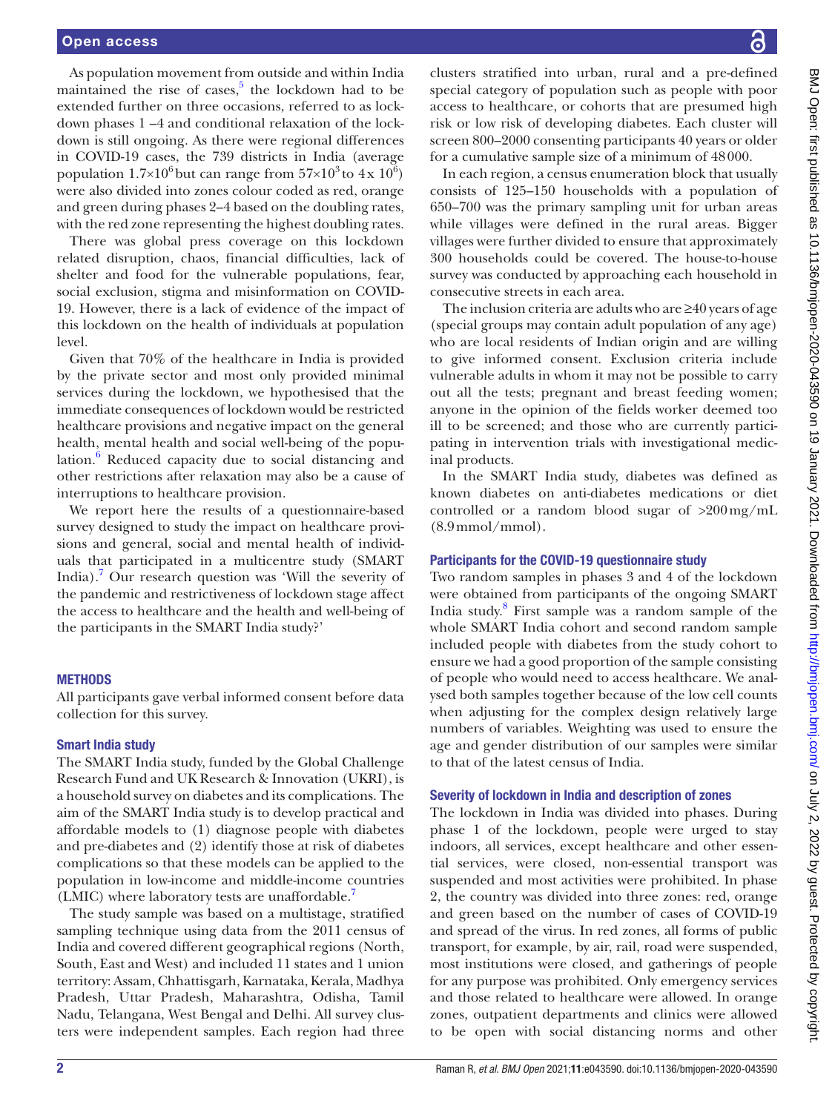As population movement from outside and within India maintained the rise of cases, $5$  the lockdown had to be extended further on three occasions, referred to as lockdown phases 1 –4 and conditional relaxation of the lockdown is still ongoing. As there were regional differences in COVID-19 cases, the 739 districts in India (average population  $1.7 \times 10^6$  but can range from  $57 \times 10^3$  to  $4 \times 10^6$ ) were also divided into zones colour coded as red, orange and green during phases 2–4 based on the doubling rates, with the red zone representing the highest doubling rates.

There was global press coverage on this lockdown related disruption, chaos, financial difficulties, lack of shelter and food for the vulnerable populations, fear, social exclusion, stigma and misinformation on COVID-19. However, there is a lack of evidence of the impact of this lockdown on the health of individuals at population level.

Given that 70% of the healthcare in India is provided by the private sector and most only provided minimal services during the lockdown, we hypothesised that the immediate consequences of lockdown would be restricted healthcare provisions and negative impact on the general health, mental health and social well-being of the popu-lation.<sup>[6](#page-9-5)</sup> Reduced capacity due to social distancing and other restrictions after relaxation may also be a cause of interruptions to healthcare provision.

We report here the results of a questionnaire-based survey designed to study the impact on healthcare provisions and general, social and mental health of individuals that participated in a multicentre study (SMART India).[7](#page-9-6) Our research question was 'Will the severity of the pandemic and restrictiveness of lockdown stage affect the access to healthcare and the health and well-being of the participants in the SMART India study?'

#### **METHODS**

All participants gave verbal informed consent before data collection for this survey.

#### Smart India study

The SMART India study, funded by the Global Challenge Research Fund and UK Research & Innovation (UKRI), is a household survey on diabetes and its complications. The aim of the SMART India study is to develop practical and affordable models to (1) diagnose people with diabetes and pre-diabetes and (2) identify those at risk of diabetes complications so that these models can be applied to the population in low-income and middle-income countries (LMIC) where laboratory tests are unaffordable.<sup>7</sup>

The study sample was based on a multistage, stratified sampling technique using data from the 2011 census of India and covered different geographical regions (North, South, East and West) and included 11 states and 1 union territory: Assam, Chhattisgarh, Karnataka, Kerala, Madhya Pradesh, Uttar Pradesh, Maharashtra, Odisha, Tamil Nadu, Telangana, West Bengal and Delhi. All survey clusters were independent samples. Each region had three

clusters stratified into urban, rural and a pre-defined special category of population such as people with poor access to healthcare, or cohorts that are presumed high risk or low risk of developing diabetes. Each cluster will screen 800–2000 consenting participants 40 years or older for a cumulative sample size of a minimum of 48000.

In each region, a census enumeration block that usually consists of 125–150 households with a population of 650–700 was the primary sampling unit for urban areas while villages were defined in the rural areas. Bigger villages were further divided to ensure that approximately 300 households could be covered. The house-to-house survey was conducted by approaching each household in consecutive streets in each area.

The inclusion criteria are adults who are ≥40 years of age (special groups may contain adult population of any age) who are local residents of Indian origin and are willing to give informed consent. Exclusion criteria include vulnerable adults in whom it may not be possible to carry out all the tests; pregnant and breast feeding women; anyone in the opinion of the fields worker deemed too ill to be screened; and those who are currently participating in intervention trials with investigational medicinal products.

In the SMART India study, diabetes was defined as known diabetes on anti-diabetes medications or diet controlled or a random blood sugar of >200mg/mL (8.9mmol/mmol).

#### Participants for the COVID-19 questionnaire study

Two random samples in phases 3 and 4 of the lockdown were obtained from participants of the ongoing SMART India study.[8](#page-9-7) First sample was a random sample of the whole SMART India cohort and second random sample included people with diabetes from the study cohort to ensure we had a good proportion of the sample consisting of people who would need to access healthcare. We analysed both samples together because of the low cell counts when adjusting for the complex design relatively large numbers of variables. Weighting was used to ensure the age and gender distribution of our samples were similar to that of the latest census of India.

#### Severity of lockdown in India and description of zones

The lockdown in India was divided into phases. During phase 1 of the lockdown, people were urged to stay indoors, all services, except healthcare and other essential services, were closed, non-essential transport was suspended and most activities were prohibited. In phase 2, the country was divided into three zones: red, orange and green based on the number of cases of COVID-19 and spread of the virus. In red zones, all forms of public transport, for example, by air, rail, road were suspended, most institutions were closed, and gatherings of people for any purpose was prohibited. Only emergency services and those related to healthcare were allowed. In orange zones, outpatient departments and clinics were allowed to be open with social distancing norms and other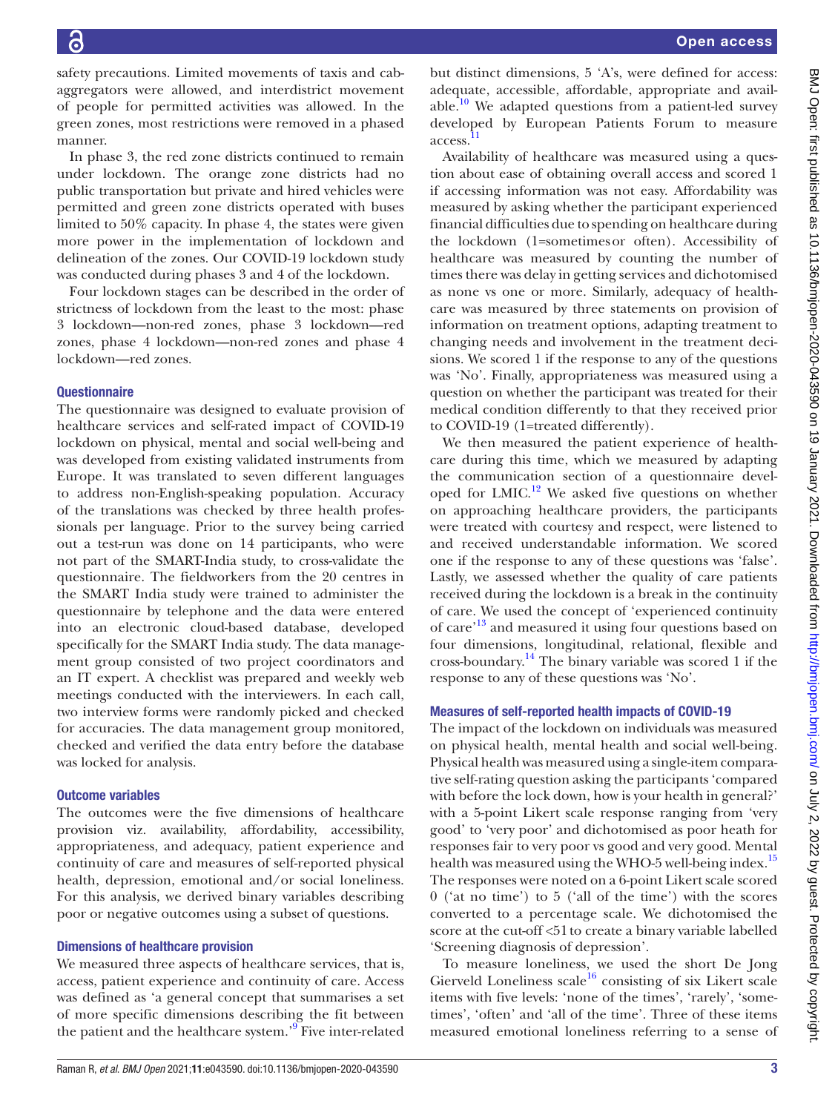safety precautions. Limited movements of taxis and cabaggregators were allowed, and interdistrict movement of people for permitted activities was allowed. In the green zones, most restrictions were removed in a phased manner.

In phase 3, the red zone districts continued to remain under lockdown. The orange zone districts had no public transportation but private and hired vehicles were permitted and green zone districts operated with buses limited to 50% capacity. In phase 4, the states were given more power in the implementation of lockdown and delineation of the zones. Our COVID-19 lockdown study was conducted during phases 3 and 4 of the lockdown.

Four lockdown stages can be described in the order of strictness of lockdown from the least to the most: phase 3 lockdown—non-red zones, phase 3 lockdown—red zones, phase 4 lockdown—non-red zones and phase 4 lockdown—red zones.

# **Questionnaire**

The questionnaire was designed to evaluate provision of healthcare services and self-rated impact of COVID-19 lockdown on physical, mental and social well-being and was developed from existing validated instruments from Europe. It was translated to seven different languages to address non-English-speaking population. Accuracy of the translations was checked by three health professionals per language. Prior to the survey being carried out a test-run was done on 14 participants, who were not part of the SMART-India study, to cross-validate the questionnaire. The fieldworkers from the 20 centres in the SMART India study were trained to administer the questionnaire by telephone and the data were entered into an electronic cloud-based database, developed specifically for the SMART India study. The data management group consisted of two project coordinators and an IT expert. A checklist was prepared and weekly web meetings conducted with the interviewers. In each call, two interview forms were randomly picked and checked for accuracies. The data management group monitored, checked and verified the data entry before the database was locked for analysis.

#### Outcome variables

The outcomes were the five dimensions of healthcare provision viz. availability, affordability, accessibility, appropriateness, and adequacy, patient experience and continuity of care and measures of self-reported physical health, depression, emotional and/or social loneliness. For this analysis, we derived binary variables describing poor or negative outcomes using a subset of questions.

#### Dimensions of healthcare provision

We measured three aspects of healthcare services, that is, access, patient experience and continuity of care. Access was defined as 'a general concept that summarises a set of more specific dimensions describing the fit between the patient and the healthcare system.'<sup>[9](#page-9-8)</sup> Five inter-related

but distinct dimensions, 5 'A's, were defined for access: adequate, accessible, affordable, appropriate and available.<sup>10</sup> We adapted questions from a patient-led survey developed by European Patients Forum to measure access. [11](#page-9-10)

Availability of healthcare was measured using a question about ease of obtaining overall access and scored 1 if accessing information was not easy. Affordability was measured by asking whether the participant experienced financial difficulties due to spending on healthcare during the lockdown (1=sometimesor often). Accessibility of healthcare was measured by counting the number of times there was delay in getting services and dichotomised as none vs one or more. Similarly, adequacy of healthcare was measured by three statements on provision of information on treatment options, adapting treatment to changing needs and involvement in the treatment decisions. We scored 1 if the response to any of the questions was 'No'. Finally, appropriateness was measured using a question on whether the participant was treated for their medical condition differently to that they received prior to COVID-19 (1=treated differently).

We then measured the patient experience of healthcare during this time, which we measured by adapting the communication section of a questionnaire developed for LMIC.<sup>12</sup> We asked five questions on whether on approaching healthcare providers, the participants were treated with courtesy and respect, were listened to and received understandable information. We scored one if the response to any of these questions was 'false'. Lastly, we assessed whether the quality of care patients received during the lockdown is a break in the continuity of care. We used the concept of 'experienced continuity of care'[13](#page-9-12) and measured it using four questions based on four dimensions, longitudinal, relational, flexible and cross-boundary.<sup>[14](#page-9-13)</sup> The binary variable was scored 1 if the response to any of these questions was 'No'.

# Measures of self-reported health impacts of COVID-19

The impact of the lockdown on individuals was measured on physical health, mental health and social well-being. Physical health was measured using a single-item comparative self-rating question asking the participants 'compared with before the lock down, how is your health in general?' with a 5-point Likert scale response ranging from 'very good' to 'very poor' and dichotomised as poor heath for responses fair to very poor vs good and very good. Mental health was measured using the WHO-5 well-being index.<sup>[15](#page-9-14)</sup> The responses were noted on a 6-point Likert scale scored 0 ('at no time') to 5 ('all of the time') with the scores converted to a percentage scale. We dichotomised the score at the cut-off <51to create a binary variable labelled 'Screening diagnosis of depression'.

To measure loneliness, we used the short De Jong Gierveld Loneliness scale<sup>16</sup> consisting of six Likert scale items with five levels: 'none of the times', 'rarely', 'sometimes', 'often' and 'all of the time'. Three of these items measured emotional loneliness referring to a sense of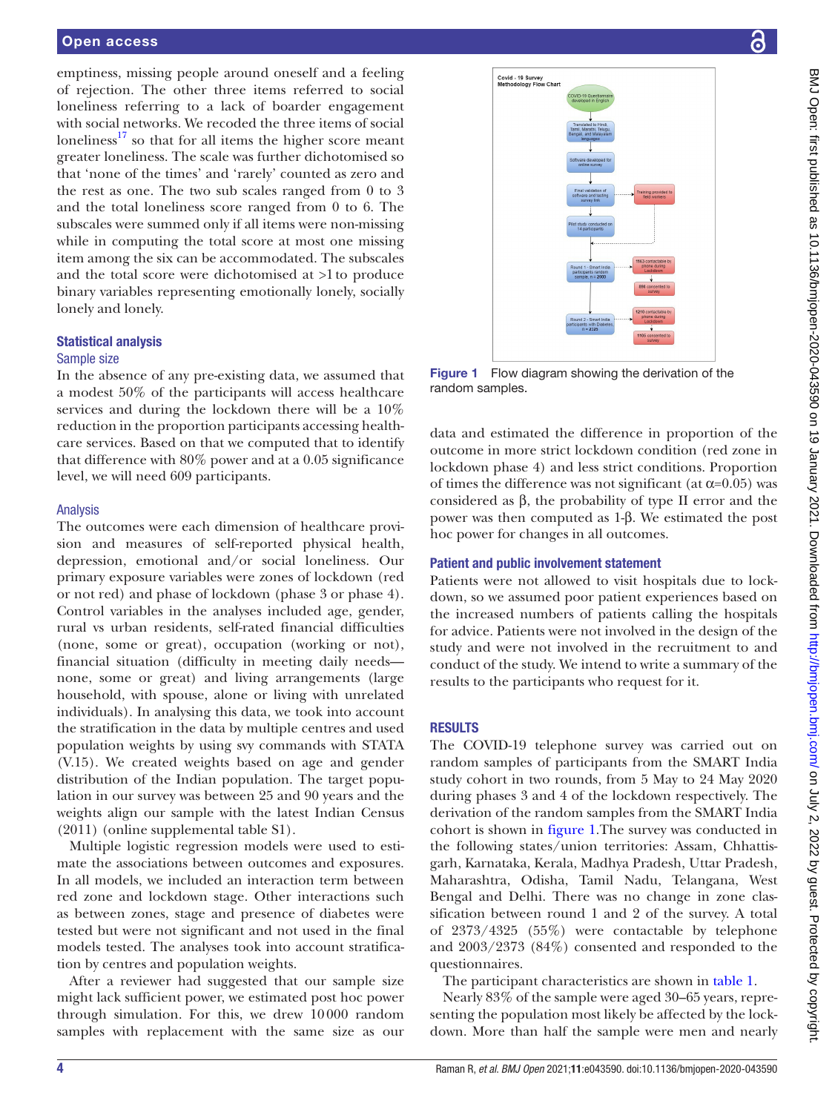emptiness, missing people around oneself and a feeling of rejection. The other three items referred to social loneliness referring to a lack of boarder engagement with social networks. We recoded the three items of social loneliness $17$  so that for all items the higher score meant greater loneliness. The scale was further dichotomised so that 'none of the times' and 'rarely' counted as zero and the rest as one. The two sub scales ranged from 0 to 3 and the total loneliness score ranged from 0 to 6. The subscales were summed only if all items were non-missing while in computing the total score at most one missing item among the six can be accommodated. The subscales and the total score were dichotomised at  $>1$  to produce binary variables representing emotionally lonely, socially lonely and lonely.

#### Statistical analysis

#### Sample size

In the absence of any pre-existing data, we assumed that a modest 50% of the participants will access healthcare services and during the lockdown there will be a 10% reduction in the proportion participants accessing healthcare services. Based on that we computed that to identify that difference with 80% power and at a 0.05 significance level, we will need 609 participants.

#### Analysis

The outcomes were each dimension of healthcare provision and measures of self-reported physical health, depression, emotional and/or social loneliness. Our primary exposure variables were zones of lockdown (red or not red) and phase of lockdown (phase 3 or phase 4). Control variables in the analyses included age, gender, rural vs urban residents, self-rated financial difficulties (none, some or great), occupation (working or not), financial situation (difficulty in meeting daily needs none, some or great) and living arrangements (large household, with spouse, alone or living with unrelated individuals). In analysing this data, we took into account the stratification in the data by multiple centres and used population weights by using svy commands with STATA (V.15). We created weights based on age and gender distribution of the Indian population. The target population in our survey was between 25 and 90 years and the weights align our sample with the latest Indian Census (2011) [\(online supplemental table S1](https://dx.doi.org/10.1136/bmjopen-2020-043590)).

Multiple logistic regression models were used to estimate the associations between outcomes and exposures. In all models, we included an interaction term between red zone and lockdown stage. Other interactions such as between zones, stage and presence of diabetes were tested but were not significant and not used in the final models tested. The analyses took into account stratification by centres and population weights.

After a reviewer had suggested that our sample size might lack sufficient power, we estimated post hoc power through simulation. For this, we drew 10000 random samples with replacement with the same size as our



<span id="page-3-0"></span>**Figure 1** Flow diagram showing the derivation of the random samples.

data and estimated the difference in proportion of the outcome in more strict lockdown condition (red zone in lockdown phase 4) and less strict conditions. Proportion of times the difference was not significant (at  $\alpha$ =0.05) was considered as β, the probability of type II error and the power was then computed as 1-β. We estimated the post hoc power for changes in all outcomes.

#### Patient and public involvement statement

Patients were not allowed to visit hospitals due to lockdown, so we assumed poor patient experiences based on the increased numbers of patients calling the hospitals for advice. Patients were not involved in the design of the study and were not involved in the recruitment to and conduct of the study. We intend to write a summary of the results to the participants who request for it.

#### **RESULTS**

The COVID-19 telephone survey was carried out on random samples of participants from the SMART India study cohort in two rounds, from 5 May to 24 May 2020 during phases 3 and 4 of the lockdown respectively. The derivation of the random samples from the SMART India cohort is shown in [figure](#page-3-0) 1.The survey was conducted in the following states/union territories: Assam, Chhattisgarh, Karnataka, Kerala, Madhya Pradesh, Uttar Pradesh, Maharashtra, Odisha, Tamil Nadu, Telangana, West Bengal and Delhi. There was no change in zone classification between round 1 and 2 of the survey. A total of 2373/4325 (55%) were contactable by telephone and 2003/2373 (84%) consented and responded to the questionnaires.

The participant characteristics are shown in [table](#page-4-0) 1.

Nearly 83% of the sample were aged 30–65 years, representing the population most likely be affected by the lockdown. More than half the sample were men and nearly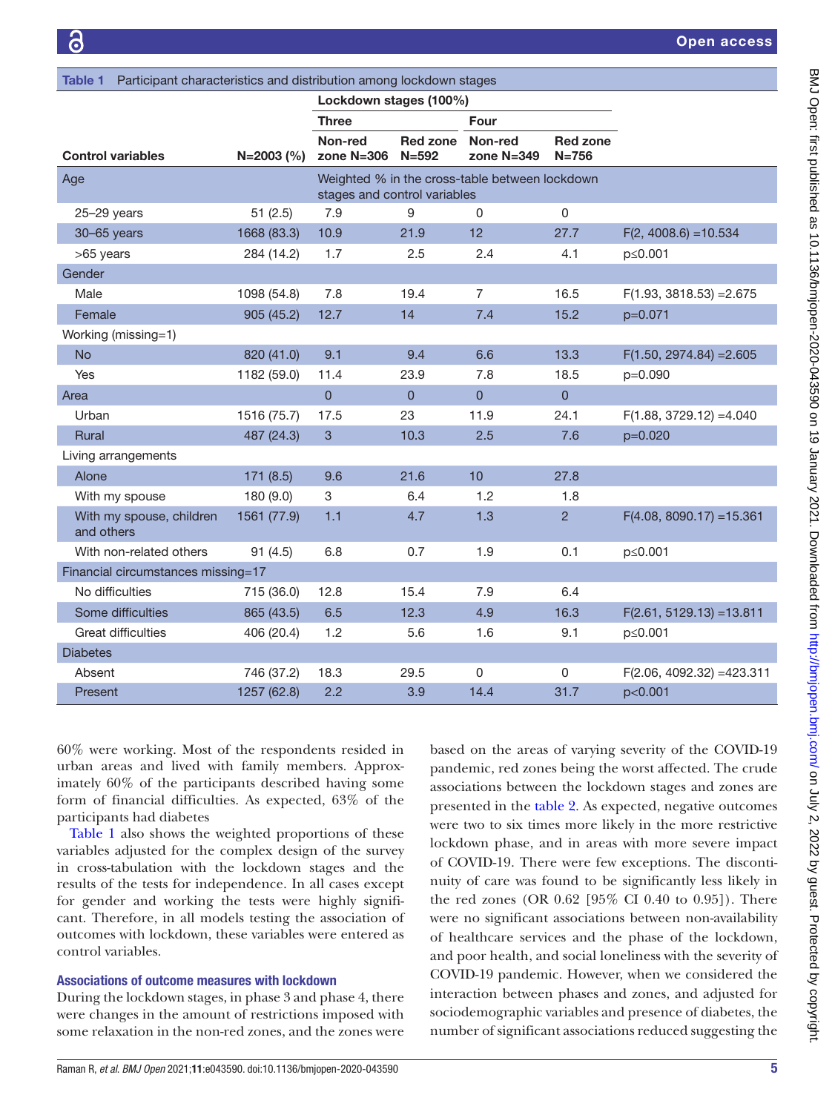<span id="page-4-0"></span>

| Participant characteristics and distribution among lockdown stages<br><b>Table 1</b> |              |                              |                              |                                                |                              |                              |
|--------------------------------------------------------------------------------------|--------------|------------------------------|------------------------------|------------------------------------------------|------------------------------|------------------------------|
|                                                                                      |              | Lockdown stages (100%)       |                              |                                                |                              |                              |
|                                                                                      |              | Three                        |                              | Four                                           |                              |                              |
| <b>Control variables</b>                                                             | $N=2003$ (%) | Non-red<br>zone $N=306$      | <b>Red zone</b><br>$N = 592$ | Non-red<br>zone $N=349$                        | <b>Red zone</b><br>$N = 756$ |                              |
| Age                                                                                  |              | stages and control variables |                              | Weighted % in the cross-table between lockdown |                              |                              |
| $25 - 29$ years                                                                      | 51(2.5)      | 7.9                          | 9                            | $\Omega$                                       | $\Omega$                     |                              |
| 30-65 years                                                                          | 1668 (83.3)  | 10.9                         | 21.9                         | 12                                             | 27.7                         | $F(2, 4008.6) = 10.534$      |
| >65 years                                                                            | 284 (14.2)   | 1.7                          | 2.5                          | 2.4                                            | 4.1                          | p≤0.001                      |
| Gender                                                                               |              |                              |                              |                                                |                              |                              |
| Male                                                                                 | 1098 (54.8)  | 7.8                          | 19.4                         | $\overline{7}$                                 | 16.5                         | $F(1.93, 3818.53) = 2.675$   |
| Female                                                                               | 905 (45.2)   | 12.7                         | 14                           | 7.4                                            | 15.2                         | $p=0.071$                    |
| Working (missing=1)                                                                  |              |                              |                              |                                                |                              |                              |
| <b>No</b>                                                                            | 820 (41.0)   | 9.1                          | 9.4                          | 6.6                                            | 13.3                         | $F(1.50, 2974.84) = 2.605$   |
| Yes                                                                                  | 1182 (59.0)  | 11.4                         | 23.9                         | 7.8                                            | 18.5                         | p=0.090                      |
| Area                                                                                 |              | $\overline{0}$               | $\overline{0}$               | 0                                              | $\overline{0}$               |                              |
| Urban                                                                                | 1516 (75.7)  | 17.5                         | 23                           | 11.9                                           | 24.1                         | $F(1.88, 3729.12) = 4.040$   |
| Rural                                                                                | 487 (24.3)   | 3                            | 10.3                         | 2.5                                            | 7.6                          | $p=0.020$                    |
| Living arrangements                                                                  |              |                              |                              |                                                |                              |                              |
| Alone                                                                                | 171(8.5)     | 9.6                          | 21.6                         | 10                                             | 27.8                         |                              |
| With my spouse                                                                       | 180 (9.0)    | 3                            | 6.4                          | 1.2                                            | 1.8                          |                              |
| With my spouse, children<br>and others                                               | 1561 (77.9)  | 1.1                          | 4.7                          | 1.3                                            | $\overline{2}$               | $F(4.08, 8090.17) = 15.361$  |
| With non-related others                                                              | 91(4.5)      | 6.8                          | 0.7                          | 1.9                                            | 0.1                          | p≤0.001                      |
| Financial circumstances missing=17                                                   |              |                              |                              |                                                |                              |                              |
| No difficulties                                                                      | 715 (36.0)   | 12.8                         | 15.4                         | 7.9                                            | 6.4                          |                              |
| Some difficulties                                                                    | 865 (43.5)   | 6.5                          | 12.3                         | 4.9                                            | 16.3                         | $F(2.61, 5129.13) = 13.811$  |
| <b>Great difficulties</b>                                                            | 406 (20.4)   | 1.2                          | 5.6                          | 1.6                                            | 9.1                          | p≤0.001                      |
| <b>Diabetes</b>                                                                      |              |                              |                              |                                                |                              |                              |
| Absent                                                                               | 746 (37.2)   | 18.3                         | 29.5                         | 0                                              | 0                            | $F(2.06, 4092.32) = 423.311$ |
| Present                                                                              | 1257 (62.8)  | 2.2                          | 3.9                          | 14.4                                           | 31.7                         | p<0.001                      |

60% were working. Most of the respondents resided in urban areas and lived with family members. Approximately 60% of the participants described having some form of financial difficulties. As expected, 63% of the participants had diabetes

[Table](#page-4-0) 1 also shows the weighted proportions of these variables adjusted for the complex design of the survey in cross-tabulation with the lockdown stages and the results of the tests for independence. In all cases except for gender and working the tests were highly significant. Therefore, in all models testing the association of outcomes with lockdown, these variables were entered as control variables.

#### Associations of outcome measures with lockdown

During the lockdown stages, in phase 3 and phase 4, there were changes in the amount of restrictions imposed with some relaxation in the non-red zones, and the zones were

based on the areas of varying severity of the COVID-19 pandemic, red zones being the worst affected. The crude associations between the lockdown stages and zones are presented in the [table](#page-5-0) 2. As expected, negative outcomes were two to six times more likely in the more restrictive lockdown phase, and in areas with more severe impact of COVID-19. There were few exceptions. The discontinuity of care was found to be significantly less likely in the red zones (OR 0.62 [95% CI 0.40 to 0.95]). There were no significant associations between non-availability of healthcare services and the phase of the lockdown, and poor health, and social loneliness with the severity of COVID-19 pandemic. However, when we considered the interaction between phases and zones, and adjusted for sociodemographic variables and presence of diabetes, the number of significant associations reduced suggesting the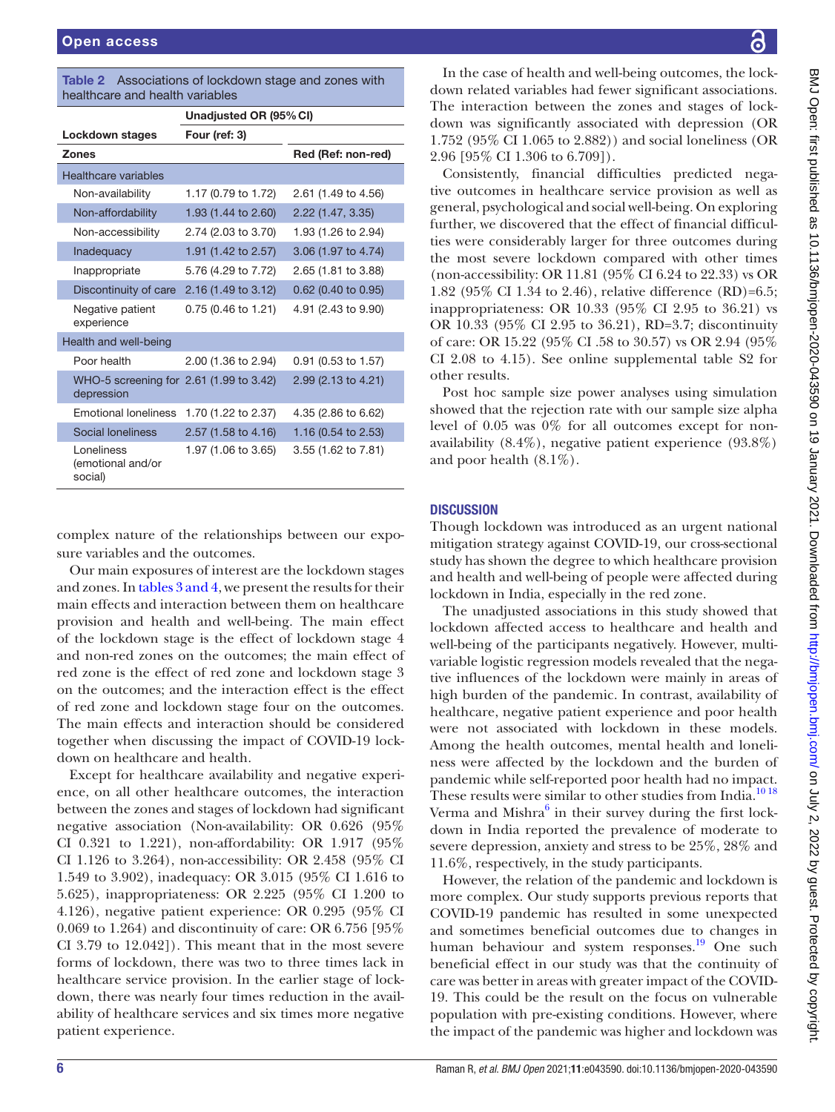| healthcare and health variables                       |                        |                     |
|-------------------------------------------------------|------------------------|---------------------|
|                                                       | Unadjusted OR (95% CI) |                     |
| Lockdown stages                                       | Four (ref: 3)          |                     |
| <b>Zones</b>                                          |                        | Red (Ref: non-red)  |
| <b>Healthcare variables</b>                           |                        |                     |
| Non-availability                                      | 1.17 (0.79 to 1.72)    | 2.61 (1.49 to 4.56) |
| Non-affordability                                     | 1.93 (1.44 to 2.60)    | 2.22(1.47, 3.35)    |
| Non-accessibility                                     | 2.74 (2.03 to 3.70)    | 1.93 (1.26 to 2.94) |
| Inadequacy                                            | 1.91 (1.42 to 2.57)    | 3.06 (1.97 to 4.74) |
| Inappropriate                                         | 5.76 (4.29 to 7.72)    | 2.65 (1.81 to 3.88) |
| Discontinuity of care                                 | 2.16 (1.49 to 3.12)    | 0.62 (0.40 to 0.95) |
| Negative patient<br>experience                        | 0.75 (0.46 to 1.21)    | 4.91 (2.43 to 9.90) |
| Health and well-being                                 |                        |                     |
| Poor health                                           | 2.00 (1.36 to 2.94)    | 0.91 (0.53 to 1.57) |
| WHO-5 screening for 2.61 (1.99 to 3.42)<br>depression |                        | 2.99 (2.13 to 4.21) |
| <b>Emotional loneliness</b>                           | 1.70 (1.22 to 2.37)    | 4.35 (2.86 to 6.62) |
| Social loneliness                                     | 2.57 (1.58 to 4.16)    | 1.16 (0.54 to 2.53) |
| Loneliness<br>(emotional and/or<br>social)            | 1.97 (1.06 to 3.65)    | 3.55 (1.62 to 7.81) |

<span id="page-5-0"></span>Table 2 Associations of lockdown stage and zones with

complex nature of the relationships between our exposure variables and the outcomes.

Our main exposures of interest are the lockdown stages and zones. In tables [3 and 4,](#page-6-0) we present the results for their main effects and interaction between them on healthcare provision and health and well-being. The main effect of the lockdown stage is the effect of lockdown stage 4 and non-red zones on the outcomes; the main effect of red zone is the effect of red zone and lockdown stage 3 on the outcomes; and the interaction effect is the effect of red zone and lockdown stage four on the outcomes. The main effects and interaction should be considered together when discussing the impact of COVID-19 lockdown on healthcare and health.

Except for healthcare availability and negative experience, on all other healthcare outcomes, the interaction between the zones and stages of lockdown had significant negative association (Non-availability: OR 0.626 (95% CI 0.321 to 1.221), non-affordability: OR 1.917 (95% CI 1.126 to 3.264), non-accessibility: OR 2.458 (95% CI 1.549 to 3.902), inadequacy: OR 3.015 (95% CI 1.616 to 5.625), inappropriateness: OR 2.225 (95% CI 1.200 to 4.126), negative patient experience: OR 0.295 (95% CI 0.069 to 1.264) and discontinuity of care: OR 6.756 [95% CI 3.79 to 12.042]). This meant that in the most severe forms of lockdown, there was two to three times lack in healthcare service provision. In the earlier stage of lockdown, there was nearly four times reduction in the availability of healthcare services and six times more negative patient experience.

In the case of health and well-being outcomes, the lockdown related variables had fewer significant associations. The interaction between the zones and stages of lockdown was significantly associated with depression (OR 1.752 (95% CI 1.065 to 2.882)) and social loneliness (OR 2.96 [95% CI 1.306 to 6.709]).

Consistently, financial difficulties predicted negative outcomes in healthcare service provision as well as general, psychological and social well-being. On exploring further, we discovered that the effect of financial difficulties were considerably larger for three outcomes during the most severe lockdown compared with other times (non-accessibility: OR 11.81 (95% CI 6.24 to 22.33) vs OR 1.82 (95% CI 1.34 to 2.46), relative difference (RD)=6.5; inappropriateness: OR 10.33 (95% CI 2.95 to 36.21) vs OR 10.33 (95% CI 2.95 to 36.21), RD=3.7; discontinuity of care: OR 15.22 (95% CI .58 to 30.57) vs OR 2.94 (95% CI 2.08 to 4.15). See [online supplemental table S2](https://dx.doi.org/10.1136/bmjopen-2020-043590) for other results.

Post hoc sample size power analyses using simulation showed that the rejection rate with our sample size alpha level of 0.05 was 0% for all outcomes except for nonavailability (8.4%), negative patient experience (93.8%) and poor health (8.1%).

# **DISCUSSION**

Though lockdown was introduced as an urgent national mitigation strategy against COVID-19, our cross-sectional study has shown the degree to which healthcare provision and health and well-being of people were affected during lockdown in India, especially in the red zone.

The unadjusted associations in this study showed that lockdown affected access to healthcare and health and well-being of the participants negatively. However, multivariable logistic regression models revealed that the negative influences of the lockdown were mainly in areas of high burden of the pandemic. In contrast, availability of healthcare, negative patient experience and poor health were not associated with lockdown in these models. Among the health outcomes, mental health and loneliness were affected by the lockdown and the burden of pandemic while self-reported poor health had no impact. These results were similar to other studies from India.<sup>1018</sup> Verma and Mishra<sup>[6](#page-9-5)</sup> in their survey during the first lockdown in India reported the prevalence of moderate to severe depression, anxiety and stress to be 25%, 28% and 11.6%, respectively, in the study participants.

However, the relation of the pandemic and lockdown is more complex. Our study supports previous reports that COVID-19 pandemic has resulted in some unexpected and sometimes beneficial outcomes due to changes in human behaviour and system responses.<sup>19</sup> One such beneficial effect in our study was that the continuity of care was better in areas with greater impact of the COVID-19. This could be the result on the focus on vulnerable population with pre-existing conditions. However, where the impact of the pandemic was higher and lockdown was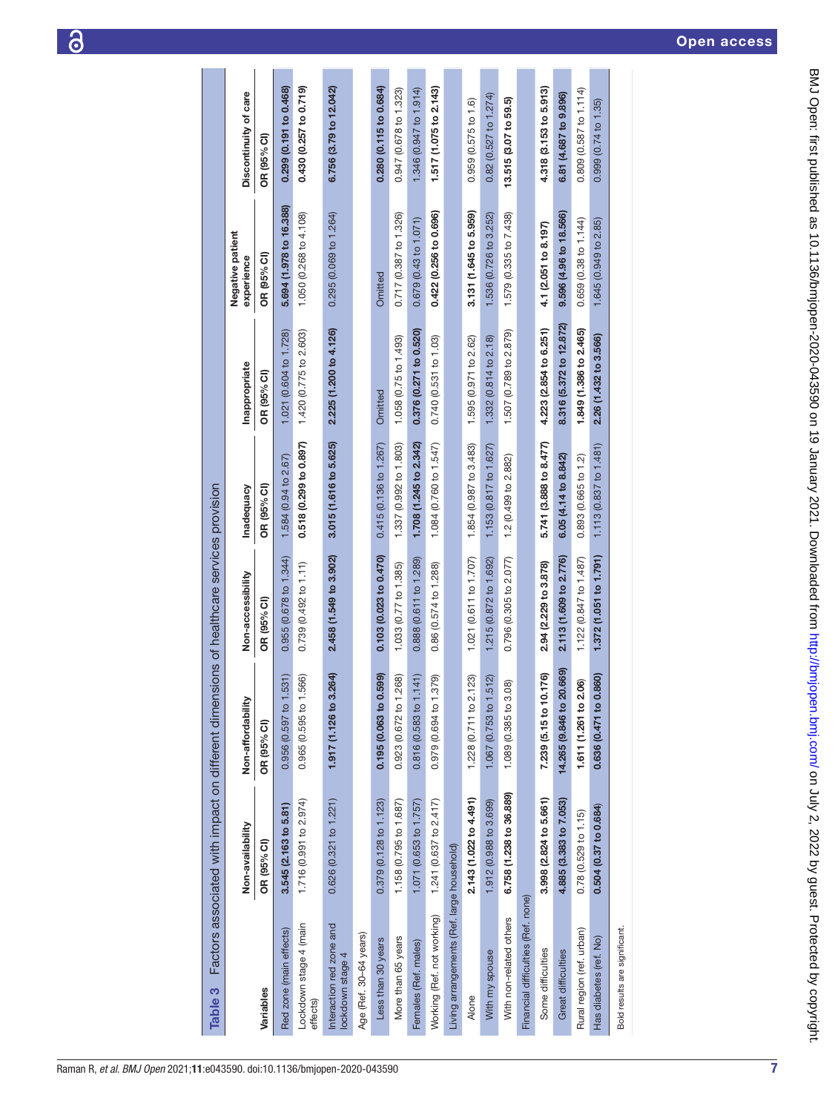<span id="page-6-0"></span>

| <b>Table 3</b>                               |                         | Factors associated with impact on different dimensions of healthcare services provision |                        |                        |                         |                                |                                |
|----------------------------------------------|-------------------------|-----------------------------------------------------------------------------------------|------------------------|------------------------|-------------------------|--------------------------------|--------------------------------|
|                                              | Non-availability        | Non-affordability                                                                       | Non-accessibility      | Inadequacy             | Inappropriate           | Negative patient<br>experience | Discontinuity of care          |
| Variables                                    | OR (95% CI)             | OR (95% CI)                                                                             | OR (95% CI)            | OR (95% CI)            | OR (95% CI)             | OR (95% CI)                    | OR (95% CI)                    |
| Red zone (main effects)                      | 3.545 (2.163 to 5.81)   | .531)<br>0.956 (0.597 to                                                                | 0.955 (0.678 to 1.344) | 1.584 (0.94 to 2.67)   | 1.021 (0.604 to 1.728)  | 5.694 (1.978 to 16.388)        | 0.299 (0.191 to 0.468)         |
| Lockdown stage 4 (main<br>effects)           | 1.716(0.991 to 2.974)   | .566)<br>0.965 (0.595 to                                                                | 0.739 (0.492 to 1.11)  | 0.518 (0.299 to 0.897) | 1.420 (0.775 to 2.603)  | 1.050 (0.268 to 4.108)         | 0.430 (0.257 to 0.719)         |
| Interaction red zone and<br>lockdown stage 4 | 0.626 (0.321 to 1.221)  | 3.264<br>1.917 (1.126 to                                                                | 2.458 (1.549 to 3.902) | 3.015 (1.616 to 5.625) | 2.225 (1.200 to 4.126)  | 0.295 (0.069 to 1.264)         | 6.756 (3.79 to 12.042)         |
| Age (Ref. 30-64 years)                       |                         |                                                                                         |                        |                        |                         |                                |                                |
| Less than 30 years                           | 0.379 (0.128 to 1.123)  | 0.599<br>0.195(0.063 to                                                                 | 0.103 (0.023 to 0.470) | 0.415 (0.136 to 1.267) | Omitted                 | Omitted                        | 0.280 (0.115 to 0.684)         |
| More than 65 years                           | 1.158 (0.795 to 1.687)  | .268)<br>0.923 (0.672 to                                                                | 1.033 (0.77 to 1.385)  | 1.337 (0.992 to 1.803) | 1.058 (0.75 to 1.493)   | 0.717 (0.387 to 1.326)         | 0.947 (0.678 to 1.323)         |
| Females (Ref. males)                         | 1.071 (0.653 to 1.757)  | 1.141<br>0.816 (0.583 to "                                                              | 0.888 (0.611 to 1.289) | 1.708 (1.245 to 2.342) | 0.376 (0.271 to 0.520)  | 0.679 (0.43 to 1.071)          | 1.346 (0.947 to 1.914)         |
| Working (Ref. not working)                   | 1.241 (0.637 to 2.417)  | .379<br>0.979 (0.694 to                                                                 | 0.86 (0.574 to 1.288)  | 1.084 (0.760 to 1.547) | 0.740 (0.531 to 1.03)   | 0.422 (0.256 to 0.696)         | 1.517 (1.075 to 2.143)         |
| Living arrangements (Ref. large household)   |                         |                                                                                         |                        |                        |                         |                                |                                |
| Alone                                        | 2.143 (1.022 to 4.491)  | 1.228 (0.711 to 2.123)                                                                  | 1.021 (0.611 to 1.707) | 1.854 (0.987 to 3.483) | 1.595 (0.971 to 2.62)   | 3.131 (1.645 to 5.959)         | 0.959 (0.575 to 1.6)           |
| With my spouse                               | 1.912 (0.988 to 3.699)  | .512<br>1.067 (0.753 to                                                                 | 1.215 (0.872 to 1.692) | 1.153 (0.817 to 1.627) | 1.332 (0.814 to 2.18)   | 1.536 (0.726 to 3.252)         | $0.82(0.527$ to 1.274)         |
| With non-related others                      | 6.758 (1.238 to 36.889) | 1.089 (0.385 to 3.08)                                                                   | 0.796 (0.305 to 2.077) | 1.2 (0.499 to 2.882)   | 1.507 (0.789 to 2.879)  | 1.579 (0.335 to 7.438)         | 13.515 (3.07 to 59.5)          |
| Financial difficulties (Ref. none)           |                         |                                                                                         |                        |                        |                         |                                |                                |
| Some difficulties                            | 3.998 (2.824 to 5.661)  | 7.239 (5.15 to 10.176)                                                                  | 2.94 (2.229 to 3.878)  | 5.741 (3.888 to 8.477) | 4.223 (2.854 to 6.251)  | 4.1 (2.051 to 8.197)           | 4.318 (3.153 to 5.913)         |
| <b>Great difficulties</b>                    | 4.885 (3.383 to 7.053)  | 20.669)<br>14.265 (9.846 to                                                             | 2.113 (1.609 to 2.776) | 6.05 (4.14 to 8.842)   | 8.316 (5.372 to 12.872) | 9.596 (4.96 to 18.566)         | 6.81 (4.687 to 9.896)          |
| Rural region (ref. urban)                    | 0.78(0.529 to 1.15)     | 2.06)<br>1.611 (1.261 to                                                                | 1.122 (0.847 to 1.487) | 0.893 (0.665 to 1.2)   | 1.849 (1.386 to 2.465)  | 0.659 (0.38 to 1.144)          | 0.809 (0.587 to 1.114)         |
| Has diabetes (ref. No)                       | 0.504 (0.37 to 0.684)   | 0.860)<br>0.636 (0.471 to                                                               | 1.372 (1.051 to 1.791) | 1.113 (0.837 to 1.481) | 2.26 (1.432 to 3.566)   | 1.645 (0.949 to 2.85)          | $0.999(0.74 \text{ to } 1.35)$ |
| Bold results are significant.                |                         |                                                                                         |                        |                        |                         |                                |                                |
|                                              |                         |                                                                                         |                        |                        |                         |                                |                                |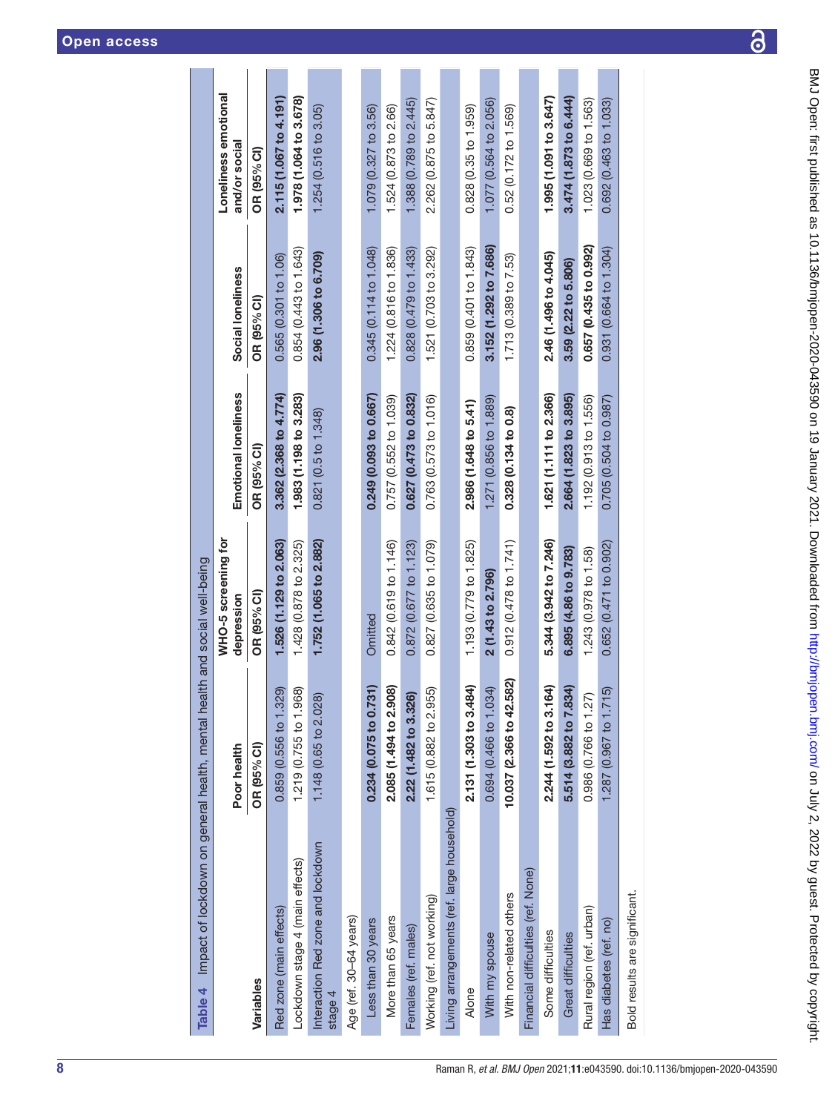| Some difficulties             | 2.244 (1.592 to 3.164) | 5.344 (3.942 to 7.246)    | 1.621 (1.111 to 2.366) | 2.46 (1.496 to 4.045)  | 1.995 (1.091 to 3.647) |
|-------------------------------|------------------------|---------------------------|------------------------|------------------------|------------------------|
| <b>Great difficulties</b>     | 5.514 (3.882 to 7.834) | 6.895 (4.86 to 9.783)     | 2.664 (1.823 to 3.895) | 3.59 (2.22 to 5.806)   | 3.474(1.873 to 6.444)  |
| Rural region (ref. urban)     | 0.986 (0.766 to 1.27)  | 1.243 (0.978 to 1.58)     | 1.192 (0.913 to 1.556) | 0.657 (0.435 to 0.992) | 1.023 (0.669 to 1.563) |
| Has diabetes (ref. no)        | 1.287 (0.967 to 1.715) | $0.652(0.471$ to $0.902)$ | 0.705 (0.504 to 0.987) | 0.931 (0.664 to 1.304) | 0.692 (0.463 to 1.033) |
| Bold results are significant. |                        |                           |                        |                        |                        |
|                               |                        |                           |                        |                        |                        |
|                               |                        |                           |                        |                        |                        |
|                               |                        |                           |                        |                        |                        |
|                               |                        |                           |                        |                        |                        |
|                               |                        |                           |                        |                        |                        |
|                               |                        |                           |                        |                        |                        |

| Impact of lockdown on general health, mental<br>Table 4 |                             | health and social well-being      |                           |                        |                                       |
|---------------------------------------------------------|-----------------------------|-----------------------------------|---------------------------|------------------------|---------------------------------------|
|                                                         | Poor health                 | WHO-5 screening for<br>depression | Emotional loneliness      | Social loneliness      | Loneliness emotional<br>and/or social |
| Variables                                               | OR (95% CI)                 | OR (95% CI)                       | OR (95% CI)               | OR (95% CI)            | OR (95% CI)                           |
| Red zone (main effects)                                 | 329<br>0.859(0.556 to 1     | 1.526 (1.129 to 2.063)            | 3.362 (2.368 to 4.774)    | 0.565 (0.301 to 1.06)  | 2.115 (1.067 to 4.191)                |
| Lockdown stage 4 (main effects)                         | .968)<br>1.219 (0.755 to 1  | 1.428 (0.878 to 2.325)            | 1.983 (1.198 to 3.283)    | 0.854 (0.443 to 1.643) | 1.978 (1.064 to 3.678)                |
| Interaction Red zone and lockdown<br>stage 4            | 1.148 (0.65 to 2.028)       | 1.752 (1.065 to 2.882)            | 0.821 (0.5 to 1.348)      | 2.96 (1.306 to 6.709)  | 1.254 (0.516 to 3.05)                 |
| Age (ref. 30-64 years)                                  |                             |                                   |                           |                        |                                       |
| Less than 30 years                                      | .731)<br>0.234 (0.075 to 0  | Omitted                           | 0.249 (0.093 to 0.667)    | 0.345 (0.114 to 1.048) | 1.079 (0.327 to 3.56)                 |
| More than 65 years                                      | .908<br>2.085 (1.494 to 2   | 0.842 (0.619 to 1.146)            | 0.757 (0.552 to 1.039)    | 1.224 (0.816 to 1.836) | 1.524 (0.873 to 2.66)                 |
| Females (ref. males)                                    | 2.22 (1.482 to 3.326)       | 0.872 (0.677 to 1.123)            | 0.627 (0.473 to 0.832)    | 0.828 (0.479 to 1.433) | 1.388 (0.789 to 2.445)                |
| Working (ref. not working)                              | .955<br>1.615 (0.882 to 2   | 0.827 (0.635 to 1.079)            | 0.763 (0.573 to 1.016)    | 1.521 (0.703 to 3.292) | 2.262 (0.875 to 5.847)                |
| Living arrangements (ref. large household)              |                             |                                   |                           |                        |                                       |
| Alone                                                   | $-484$<br>2.131 (1.303 to 3 | 1.193 (0.779 to 1.825)            | 2.986 (1.648 to 5.41)     | 0.859 (0.401 to 1.843) | 0.828 (0.35 to 1.959)                 |
| With my spouse                                          | .034)<br>0.694 (0.466 to 1  | 2 (1.43 to 2.796)                 | 1.271 (0.856 to 1.889)    | 3.152 (1.292 to 7.686) | 1.077 (0.564 to 2.056)                |
| With non-related others                                 | 10.037 (2.366 to 42.582)    | 0.912(0.478 to 1.741)             | 0.328 (0.134 to 0.8)      | 1.713(0.389 to 7.53)   | 0.52 (0.172 to 1.569)                 |
| Financial difficulties (ref. None)                      |                             |                                   |                           |                        |                                       |
| Some difficulties                                       | 164)<br>2.244 (1.592 to 3   | 5.344 (3.942 to 7.246)            | 1.621 (1.111 to 2.366)    | 2.46 (1.496 to 4.045)  | 1.995 (1.091 to 3.647)                |
| <b>Great difficulties</b>                               | .834)<br>5.514 (3.882 to 7  | 6.895 (4.86 to 9.783)             | 2.664 (1.823 to 3.895)    | 3.59 (2.22 to 5.806)   | 3.474 (1.873 to 6.444)                |
| Rural region (ref. urban)                               | 27)<br>0.986 (0.766 to 1    | 1.243 (0.978 to 1.58)             | 1.192 (0.913 to 1.556)    | 0.657 (0.435 to 0.992) | 1.023 (0.669 to 1.563)                |
| Has diabetes (ref. no)                                  | .715<br>1.287 (0.967 to 1   | $0.652(0.471$ to $0.902)$         | $0.705(0.504$ to $0.987)$ | 0.931 (0.664 to 1.304) | 0.692 (0.463 to 1.033)                |
| Rold results are significant                            |                             |                                   |                           |                        |                                       |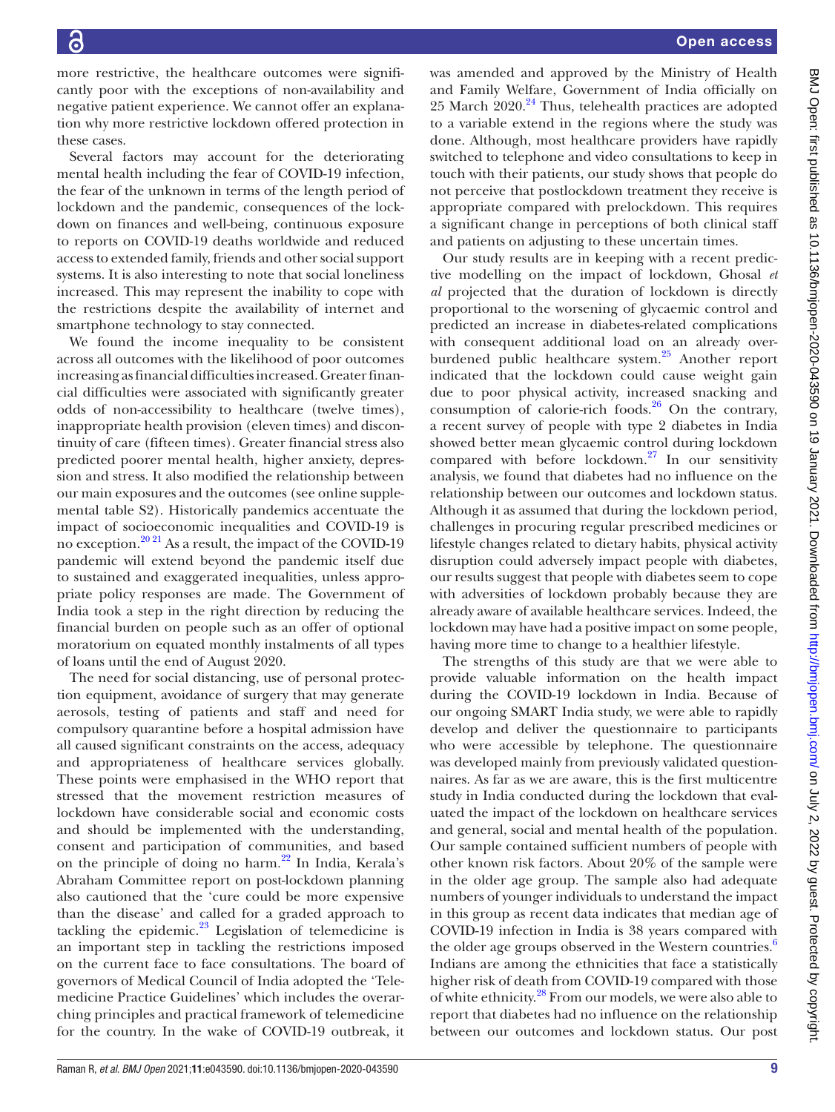more restrictive, the healthcare outcomes were significantly poor with the exceptions of non-availability and negative patient experience. We cannot offer an explanation why more restrictive lockdown offered protection in these cases.

Several factors may account for the deteriorating mental health including the fear of COVID-19 infection, the fear of the unknown in terms of the length period of lockdown and the pandemic, consequences of the lockdown on finances and well-being, continuous exposure to reports on COVID-19 deaths worldwide and reduced access to extended family, friends and other social support systems. It is also interesting to note that social loneliness increased. This may represent the inability to cope with the restrictions despite the availability of internet and smartphone technology to stay connected.

We found the income inequality to be consistent across all outcomes with the likelihood of poor outcomes increasing as financial difficulties increased. Greater financial difficulties were associated with significantly greater odds of non-accessibility to healthcare (twelve times), inappropriate health provision (eleven times) and discontinuity of care (fifteen times). Greater financial stress also predicted poorer mental health, higher anxiety, depression and stress. It also modified the relationship between our main exposures and the outcomes (see [online supple](https://dx.doi.org/10.1136/bmjopen-2020-043590)[mental table S2\)](https://dx.doi.org/10.1136/bmjopen-2020-043590). Historically pandemics accentuate the impact of socioeconomic inequalities and COVID-19 is no exception.<sup>20 21</sup> As a result, the impact of the COVID-19 pandemic will extend beyond the pandemic itself due to sustained and exaggerated inequalities, unless appropriate policy responses are made. The Government of India took a step in the right direction by reducing the financial burden on people such as an offer of optional moratorium on equated monthly instalments of all types of loans until the end of August 2020.

The need for social distancing, use of personal protection equipment, avoidance of surgery that may generate aerosols, testing of patients and staff and need for compulsory quarantine before a hospital admission have all caused significant constraints on the access, adequacy and appropriateness of healthcare services globally. These points were emphasised in the WHO report that stressed that the movement restriction measures of lockdown have considerable social and economic costs and should be implemented with the understanding, consent and participation of communities, and based on the principle of doing no harm.<sup>22</sup> In India, Kerala's Abraham Committee report on post-lockdown planning also cautioned that the 'cure could be more expensive than the disease' and called for a graded approach to tackling the epidemic. $^{23}$  Legislation of telemedicine is an important step in tackling the restrictions imposed on the current face to face consultations. The board of governors of Medical Council of India adopted the 'Telemedicine Practice Guidelines' which includes the overarching principles and practical framework of telemedicine for the country. In the wake of COVID-19 outbreak, it

was amended and approved by the Ministry of Health and Family Welfare, Government of India officially on 25 March 2020.<sup>24</sup> Thus, telehealth practices are adopted to a variable extend in the regions where the study was done. Although, most healthcare providers have rapidly switched to telephone and video consultations to keep in touch with their patients, our study shows that people do not perceive that postlockdown treatment they receive is appropriate compared with prelockdown. This requires a significant change in perceptions of both clinical staff and patients on adjusting to these uncertain times.

Our study results are in keeping with a recent predictive modelling on the impact of lockdown, Ghosal *et al* projected that the duration of lockdown is directly proportional to the worsening of glycaemic control and predicted an increase in diabetes-related complications with consequent additional load on an already overburdened public healthcare system.<sup>25</sup> Another report indicated that the lockdown could cause weight gain due to poor physical activity, increased snacking and consumption of calorie-rich foods. $26$  On the contrary, a recent survey of people with type 2 diabetes in India showed better mean glycaemic control during lockdown compared with before lockdown.[27](#page-10-3) In our sensitivity analysis, we found that diabetes had no influence on the relationship between our outcomes and lockdown status. Although it as assumed that during the lockdown period, challenges in procuring regular prescribed medicines or lifestyle changes related to dietary habits, physical activity disruption could adversely impact people with diabetes, our results suggest that people with diabetes seem to cope with adversities of lockdown probably because they are already aware of available healthcare services. Indeed, the lockdown may have had a positive impact on some people, having more time to change to a healthier lifestyle.

The strengths of this study are that we were able to provide valuable information on the health impact during the COVID-19 lockdown in India. Because of our ongoing SMART India study, we were able to rapidly develop and deliver the questionnaire to participants who were accessible by telephone. The questionnaire was developed mainly from previously validated questionnaires. As far as we are aware, this is the first multicentre study in India conducted during the lockdown that evaluated the impact of the lockdown on healthcare services and general, social and mental health of the population. Our sample contained sufficient numbers of people with other known risk factors. About 20% of the sample were in the older age group. The sample also had adequate numbers of younger individuals to understand the impact in this group as recent data indicates that median age of COVID-19 infection in India is 38 years compared with the older age groups observed in the Western countries.<sup>6</sup> Indians are among the ethnicities that face a statistically higher risk of death from COVID-19 compared with those of white ethnicity.<sup>28</sup> From our models, we were also able to report that diabetes had no influence on the relationship between our outcomes and lockdown status. Our post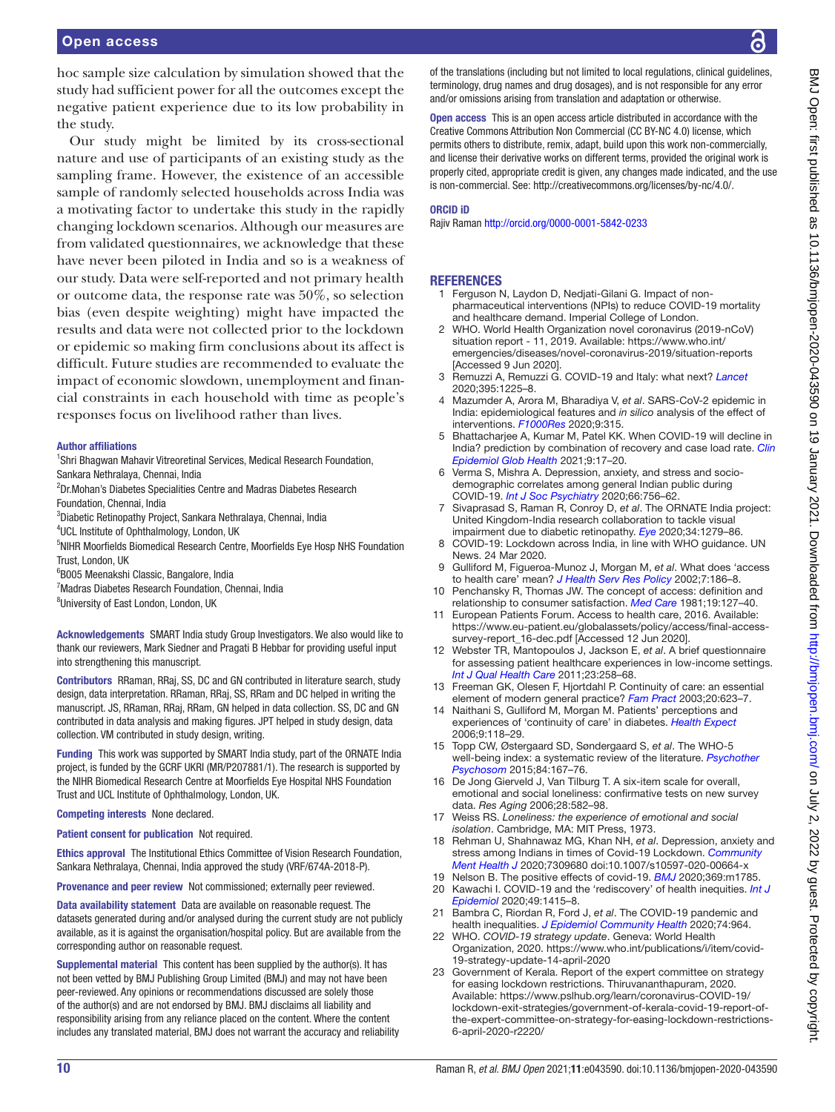hoc sample size calculation by simulation showed that the study had sufficient power for all the outcomes except the negative patient experience due to its low probability in the study.

Our study might be limited by its cross-sectional nature and use of participants of an existing study as the sampling frame. However, the existence of an accessible sample of randomly selected households across India was a motivating factor to undertake this study in the rapidly changing lockdown scenarios. Although our measures are from validated questionnaires, we acknowledge that these have never been piloted in India and so is a weakness of our study. Data were self-reported and not primary health or outcome data, the response rate was 50%, so selection bias (even despite weighting) might have impacted the results and data were not collected prior to the lockdown or epidemic so making firm conclusions about its affect is difficult. Future studies are recommended to evaluate the impact of economic slowdown, unemployment and financial constraints in each household with time as people's responses focus on livelihood rather than lives.

#### Author affiliations

<sup>1</sup>Shri Bhagwan Mahavir Vitreoretinal Services, Medical Research Foundation, Sankara Nethralaya, Chennai, India

- <sup>2</sup>Dr.Mohan's Diabetes Specialities Centre and Madras Diabetes Research Foundation, Chennai, India
- 3 Diabetic Retinopathy Project, Sankara Nethralaya, Chennai, India
- 4 UCL Institute of Ophthalmology, London, UK
- <sup>5</sup>NIHR Moorfields Biomedical Research Centre, Moorfields Eye Hosp NHS Foundation Trust, London, UK
- 6 B005 Meenakshi Classic, Bangalore, India
- 7 Madras Diabetes Research Foundation, Chennai, India
- <sup>8</sup>University of East London, London, UK

Acknowledgements SMART India study Group Investigators. We also would like to thank our reviewers, Mark Siedner and Pragati B Hebbar for providing useful input into strengthening this manuscript.

Contributors RRaman, RRaj, SS, DC and GN contributed in literature search, study design, data interpretation. RRaman, RRaj, SS, RRam and DC helped in writing the manuscript. JS, RRaman, RRaj, RRam, GN helped in data collection. SS, DC and GN contributed in data analysis and making figures. JPT helped in study design, data collection. VM contributed in study design, writing.

Funding This work was supported by SMART India study, part of the ORNATE India project, is funded by the GCRF UKRI (MR/P207881/1). The research is supported by the NIHR Biomedical Research Centre at Moorfields Eye Hospital NHS Foundation Trust and UCL Institute of Ophthalmology, London, UK.

Competing interests None declared.

Patient consent for publication Not required.

Ethics approval The Institutional Ethics Committee of Vision Research Foundation, Sankara Nethralaya, Chennai, India approved the study (VRF/674A-2018-P).

Provenance and peer review Not commissioned; externally peer reviewed.

Data availability statement Data are available on reasonable request. The datasets generated during and/or analysed during the current study are not publicly available, as it is against the organisation/hospital policy. But are available from the corresponding author on reasonable request.

Supplemental material This content has been supplied by the author(s). It has not been vetted by BMJ Publishing Group Limited (BMJ) and may not have been peer-reviewed. Any opinions or recommendations discussed are solely those of the author(s) and are not endorsed by BMJ. BMJ disclaims all liability and responsibility arising from any reliance placed on the content. Where the content includes any translated material, BMJ does not warrant the accuracy and reliability of the translations (including but not limited to local regulations, clinical guidelines, terminology, drug names and drug dosages), and is not responsible for any error and/or omissions arising from translation and adaptation or otherwise.

Open access This is an open access article distributed in accordance with the Creative Commons Attribution Non Commercial (CC BY-NC 4.0) license, which permits others to distribute, remix, adapt, build upon this work non-commercially, and license their derivative works on different terms, provided the original work is properly cited, appropriate credit is given, any changes made indicated, and the use is non-commercial. See: [http://creativecommons.org/licenses/by-nc/4.0/.](http://creativecommons.org/licenses/by-nc/4.0/)

#### ORCID iD

Rajiv Raman <http://orcid.org/0000-0001-5842-0233>

#### **REFERENCES**

- <span id="page-9-0"></span>1 Ferguson N, Laydon D, Nedjati-Gilani G. Impact of nonpharmaceutical interventions (NPIs) to reduce COVID-19 mortality and healthcare demand. Imperial College of London.
- <span id="page-9-1"></span>2 WHO. World Health Organization novel coronavirus (2019-nCoV) situation report - 11, 2019. Available: [https://www.who.int/](https://www.who.int/emergencies/diseases/novel-coronavirus-2019/situation-reports) [emergencies/diseases/novel-coronavirus-2019/situation-reports](https://www.who.int/emergencies/diseases/novel-coronavirus-2019/situation-reports) [Accessed 9 Jun 2020].
- <span id="page-9-2"></span>3 Remuzzi A, Remuzzi G. COVID-19 and Italy: what next? *[Lancet](http://dx.doi.org/10.1016/S0140-6736(20)30627-9)* 2020;395:1225–8.
- <span id="page-9-3"></span>4 Mazumder A, Arora M, Bharadiya V, *et al*. SARS-CoV-2 epidemic in India: epidemiological features and *in silico* analysis of the effect of interventions. *[F1000Res](http://dx.doi.org/10.12688/f1000research.23496.1)* 2020;9:315.
- <span id="page-9-4"></span>5 Bhattacharjee A, Kumar M, Patel KK. When COVID-19 will decline in India? prediction by combination of recovery and case load rate. *[Clin](http://dx.doi.org/10.1016/j.cegh.2020.06.004)  [Epidemiol Glob Health](http://dx.doi.org/10.1016/j.cegh.2020.06.004)* 2021;9:17–20.
- <span id="page-9-5"></span>6 Verma S, Mishra A. Depression, anxiety, and stress and sociodemographic correlates among general Indian public during COVID-19. *[Int J Soc Psychiatry](http://dx.doi.org/10.1177/0020764020934508)* 2020;66:756–62.
- <span id="page-9-6"></span>7 Sivaprasad S, Raman R, Conroy D, *et al*. The ORNATE India project: United Kingdom-India research collaboration to tackle visual impairment due to diabetic retinopathy. *[Eye](http://dx.doi.org/10.1038/s41433-020-0854-8)* 2020;34:1279–86.
- <span id="page-9-7"></span>8 COVID-19: Lockdown across India, in line with WHO guidance. UN News. 24 Mar 2020.
- <span id="page-9-8"></span>9 Gulliford M, Figueroa-Munoz J, Morgan M, *et al*. What does 'access to health care' mean? *[J Health Serv Res Policy](http://dx.doi.org/10.1258/135581902760082517)* 2002;7:186–8.
- <span id="page-9-9"></span>10 Penchansky R, Thomas JW. The concept of access: definition and relationship to consumer satisfaction. *[Med Care](http://dx.doi.org/10.1097/00005650-198102000-00001)* 1981;19:127–40.
- <span id="page-9-10"></span>European Patients Forum. Access to health care, 2016. Available: [https://www.eu-patient.eu/globalassets/policy/access/final-access](https://www.eu-patient.eu/globalassets/policy/access/final-access-survey-report_16-dec.pdf)[survey-report\\_16-dec.pdf](https://www.eu-patient.eu/globalassets/policy/access/final-access-survey-report_16-dec.pdf) [Accessed 12 Jun 2020].
- <span id="page-9-11"></span>12 Webster TR, Mantopoulos J, Jackson E, *et al*. A brief questionnaire for assessing patient healthcare experiences in low-income settings. *[Int J Qual Health Care](http://dx.doi.org/10.1093/intqhc/mzr019)* 2011;23:258–68.
- <span id="page-9-12"></span>13 Freeman GK, Olesen F, Hjortdahl P. Continuity of care: an essential element of modern general practice? *[Fam Pract](http://dx.doi.org/10.1093/fampra/cmg601)* 2003;20:623–7.
- <span id="page-9-13"></span>14 Naithani S, Gulliford M, Morgan M. Patients' perceptions and experiences of 'continuity of care' in diabetes. *[Health Expect](http://dx.doi.org/10.1111/j.1369-7625.2006.00379.x)* 2006;9:118–29.
- <span id="page-9-14"></span>15 Topp CW, Østergaard SD, Søndergaard S, *et al*. The WHO-5 well-being index: a systematic review of the literature. *[Psychother](http://dx.doi.org/10.1159/000376585)  [Psychosom](http://dx.doi.org/10.1159/000376585)* 2015;84:167–76.
- <span id="page-9-15"></span>16 De Jong Gierveld J, Van Tilburg T. A six-item scale for overall, emotional and social loneliness: confirmative tests on new survey data. *Res Aging* 2006;28:582–98.
- <span id="page-9-16"></span>17 Weiss RS. *Loneliness: the experience of emotional and social isolation*. Cambridge, MA: MIT Press, 1973.
- 18 Rehman U, Shahnawaz MG, Khan NH, *et al*. Depression, anxiety and stress among Indians in times of Covid-19 Lockdown. *[Community](http://dx.doi.org/10.1007/s10597-020-00664-x)  [Ment Health J](http://dx.doi.org/10.1007/s10597-020-00664-x)* 2020;7309680 doi:10.1007/s10597-020-00664-x
- <span id="page-9-18"></span><span id="page-9-17"></span>19 Nelson B. The positive effects of covid-19. *[BMJ](http://dx.doi.org/10.1136/bmj.m1785)* 2020;369:m1785. 20 Kawachi I. COVID-19 and the 'rediscovery' of health inequities. *[Int J](http://dx.doi.org/10.1093/ije/dyaa159)*
- *[Epidemiol](http://dx.doi.org/10.1093/ije/dyaa159)* 2020;49:1415–8. 21 Bambra C, Riordan R, Ford J, *et al*. The COVID-19 pandemic and
- <span id="page-9-19"></span>health inequalities. *[J Epidemiol Community Health](http://dx.doi.org/10.1136/jech-2020-214401)* 2020;74:964. 22 WHO. *COVID-19 strategy update*. Geneva: World Health
- Organization, 2020. [https://www.who.int/publications/i/item/covid-](https://www.who.int/publications/i/item/covid-19-strategy-update-14-april-2020)[19-strategy-update-14-april-2020](https://www.who.int/publications/i/item/covid-19-strategy-update-14-april-2020)
- <span id="page-9-20"></span>23 Government of Kerala. Report of the expert committee on strategy for easing lockdown restrictions. Thiruvananthapuram, 2020. Available: [https://www.pslhub.org/learn/coronavirus-COVID-19/](https://www.pslhub.org/learn/coronavirus-COVID-19/lockdown-exit-strategies/government-of-kerala-covid-19-report-of-the-expert-committee-on-strategy-for-easing-lockdown-restrictions-6-april-2020-r2220/) [lockdown-exit-strategies/government-of-kerala-covid-19-report-of](https://www.pslhub.org/learn/coronavirus-COVID-19/lockdown-exit-strategies/government-of-kerala-covid-19-report-of-the-expert-committee-on-strategy-for-easing-lockdown-restrictions-6-april-2020-r2220/)[the-expert-committee-on-strategy-for-easing-lockdown-restrictions-](https://www.pslhub.org/learn/coronavirus-COVID-19/lockdown-exit-strategies/government-of-kerala-covid-19-report-of-the-expert-committee-on-strategy-for-easing-lockdown-restrictions-6-april-2020-r2220/)[6-april-2020-r2220/](https://www.pslhub.org/learn/coronavirus-COVID-19/lockdown-exit-strategies/government-of-kerala-covid-19-report-of-the-expert-committee-on-strategy-for-easing-lockdown-restrictions-6-april-2020-r2220/)